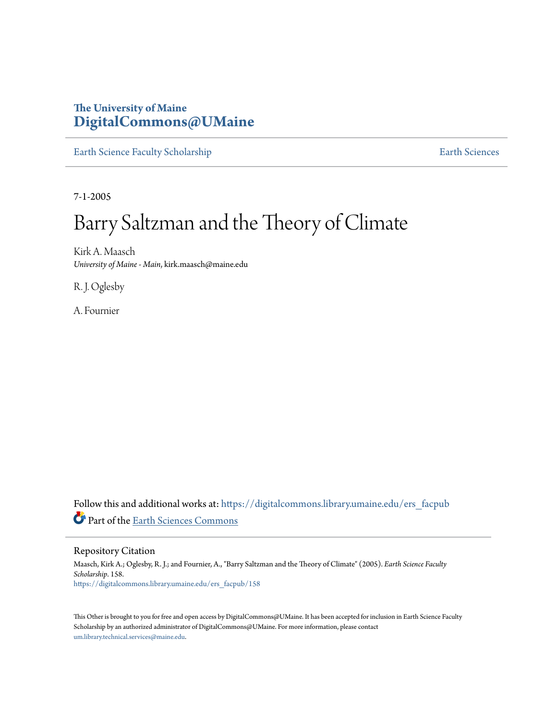# **The University of Maine [DigitalCommons@UMaine](https://digitalcommons.library.umaine.edu?utm_source=digitalcommons.library.umaine.edu%2Fers_facpub%2F158&utm_medium=PDF&utm_campaign=PDFCoverPages)**

[Earth Science Faculty Scholarship](https://digitalcommons.library.umaine.edu/ers_facpub?utm_source=digitalcommons.library.umaine.edu%2Fers_facpub%2F158&utm_medium=PDF&utm_campaign=PDFCoverPages) **[Earth Sciences](https://digitalcommons.library.umaine.edu/ers?utm_source=digitalcommons.library.umaine.edu%2Fers_facpub%2F158&utm_medium=PDF&utm_campaign=PDFCoverPages)** 

7-1-2005

# Barry Saltzman and the Theory of Climate

Kirk A. Maasch *University of Maine - Main*, kirk.maasch@maine.edu

R. J. Oglesby

A. Fournier

Follow this and additional works at: [https://digitalcommons.library.umaine.edu/ers\\_facpub](https://digitalcommons.library.umaine.edu/ers_facpub?utm_source=digitalcommons.library.umaine.edu%2Fers_facpub%2F158&utm_medium=PDF&utm_campaign=PDFCoverPages) Part of the [Earth Sciences Commons](http://network.bepress.com/hgg/discipline/153?utm_source=digitalcommons.library.umaine.edu%2Fers_facpub%2F158&utm_medium=PDF&utm_campaign=PDFCoverPages)

Repository Citation

Maasch, Kirk A.; Oglesby, R. J.; and Fournier, A., "Barry Saltzman and the Theory of Climate" (2005). *Earth Science Faculty Scholarship*. 158. [https://digitalcommons.library.umaine.edu/ers\\_facpub/158](https://digitalcommons.library.umaine.edu/ers_facpub/158?utm_source=digitalcommons.library.umaine.edu%2Fers_facpub%2F158&utm_medium=PDF&utm_campaign=PDFCoverPages)

This Other is brought to you for free and open access by DigitalCommons@UMaine. It has been accepted for inclusion in Earth Science Faculty Scholarship by an authorized administrator of DigitalCommons@UMaine. For more information, please contact [um.library.technical.services@maine.edu](mailto:um.library.technical.services@maine.edu).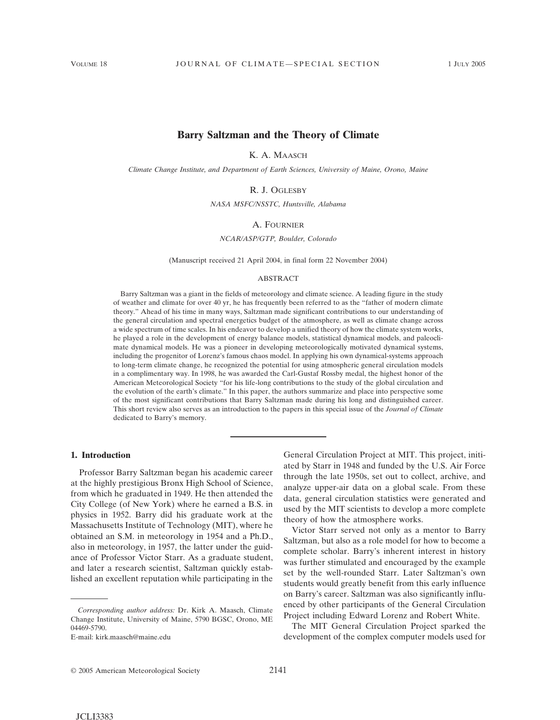# **Barry Saltzman and the Theory of Climate**

K. A. MAASCH

*Climate Change Institute, and Department of Earth Sciences, University of Maine, Orono, Maine*

# R. J. OGLESBY

*NASA MSFC/NSSTC, Huntsville, Alabama*

#### A. FOURNIER

#### *NCAR/ASP/GTP, Boulder, Colorado*

(Manuscript received 21 April 2004, in final form 22 November 2004)

#### ABSTRACT

Barry Saltzman was a giant in the fields of meteorology and climate science. A leading figure in the study of weather and climate for over 40 yr, he has frequently been referred to as the "father of modern climate theory." Ahead of his time in many ways, Saltzman made significant contributions to our understanding of the general circulation and spectral energetics budget of the atmosphere, as well as climate change across a wide spectrum of time scales. In his endeavor to develop a unified theory of how the climate system works, he played a role in the development of energy balance models, statistical dynamical models, and paleoclimate dynamical models. He was a pioneer in developing meteorologically motivated dynamical systems, including the progenitor of Lorenz's famous chaos model. In applying his own dynamical-systems approach to long-term climate change, he recognized the potential for using atmospheric general circulation models in a complimentary way. In 1998, he was awarded the Carl-Gustaf Rossby medal, the highest honor of the American Meteorological Society "for his life-long contributions to the study of the global circulation and the evolution of the earth's climate." In this paper, the authors summarize and place into perspective some of the most significant contributions that Barry Saltzman made during his long and distinguished career. This short review also serves as an introduction to the papers in this special issue of the *Journal of Climate* dedicated to Barry's memory.

#### **1. Introduction**

Professor Barry Saltzman began his academic career at the highly prestigious Bronx High School of Science, from which he graduated in 1949. He then attended the City College (of New York) where he earned a B.S. in physics in 1952. Barry did his graduate work at the Massachusetts Institute of Technology (MIT), where he obtained an S.M. in meteorology in 1954 and a Ph.D., also in meteorology, in 1957, the latter under the guidance of Professor Victor Starr. As a graduate student, and later a research scientist, Saltzman quickly established an excellent reputation while participating in the

General Circulation Project at MIT. This project, initiated by Starr in 1948 and funded by the U.S. Air Force through the late 1950s, set out to collect, archive, and analyze upper-air data on a global scale. From these data, general circulation statistics were generated and used by the MIT scientists to develop a more complete theory of how the atmosphere works.

Victor Starr served not only as a mentor to Barry Saltzman, but also as a role model for how to become a complete scholar. Barry's inherent interest in history was further stimulated and encouraged by the example set by the well-rounded Starr. Later Saltzman's own students would greatly benefit from this early influence on Barry's career. Saltzman was also significantly influenced by other participants of the General Circulation Project including Edward Lorenz and Robert White.

The MIT General Circulation Project sparked the development of the complex computer models used for

*Corresponding author address:* Dr. Kirk A. Maasch, Climate Change Institute, University of Maine, 5790 BGSC, Orono, ME 04469-5790.

E-mail: kirk.maasch@maine.edu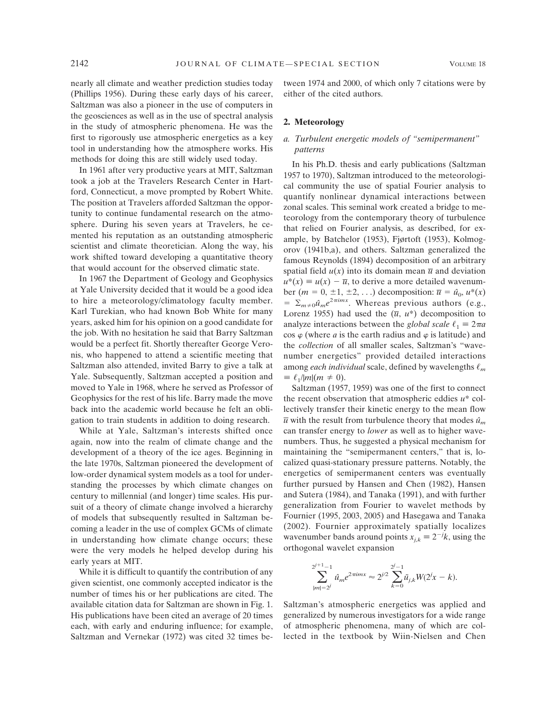nearly all climate and weather prediction studies today (Phillips 1956). During these early days of his career, Saltzman was also a pioneer in the use of computers in the geosciences as well as in the use of spectral analysis in the study of atmospheric phenomena. He was the first to rigorously use atmospheric energetics as a key tool in understanding how the atmosphere works. His methods for doing this are still widely used today.

In 1961 after very productive years at MIT, Saltzman took a job at the Travelers Research Center in Hartford, Connecticut, a move prompted by Robert White. The position at Travelers afforded Saltzman the opportunity to continue fundamental research on the atmosphere. During his seven years at Travelers, he cemented his reputation as an outstanding atmospheric scientist and climate theoretician. Along the way, his work shifted toward developing a quantitative theory that would account for the observed climatic state.

In 1967 the Department of Geology and Geophysics at Yale University decided that it would be a good idea to hire a meteorology/climatology faculty member. Karl Turekian, who had known Bob White for many years, asked him for his opinion on a good candidate for the job. With no hesitation he said that Barry Saltzman would be a perfect fit. Shortly thereafter George Veronis, who happened to attend a scientific meeting that Saltzman also attended, invited Barry to give a talk at Yale. Subsequently, Saltzman accepted a position and moved to Yale in 1968, where he served as Professor of Geophysics for the rest of his life. Barry made the move back into the academic world because he felt an obligation to train students in addition to doing research.

While at Yale, Saltzman's interests shifted once again, now into the realm of climate change and the development of a theory of the ice ages. Beginning in the late 1970s, Saltzman pioneered the development of low-order dynamical system models as a tool for understanding the processes by which climate changes on century to millennial (and longer) time scales. His pursuit of a theory of climate change involved a hierarchy of models that subsequently resulted in Saltzman becoming a leader in the use of complex GCMs of climate in understanding how climate change occurs; these were the very models he helped develop during his early years at MIT.

While it is difficult to quantify the contribution of any given scientist, one commonly accepted indicator is the number of times his or her publications are cited. The available citation data for Saltzman are shown in Fig. 1. His publications have been cited an average of 20 times each, with early and enduring influence; for example, Saltzman and Vernekar (1972) was cited 32 times between 1974 and 2000, of which only 7 citations were by either of the cited authors.

#### **2. Meteorology**

# *a. Turbulent energetic models of "semipermanent" patterns*

In his Ph.D. thesis and early publications (Saltzman 1957 to 1970), Saltzman introduced to the meteorological community the use of spatial Fourier analysis to quantify nonlinear dynamical interactions between zonal scales. This seminal work created a bridge to meteorology from the contemporary theory of turbulence that relied on Fourier analysis, as described, for example, by Batchelor (1953), Fjørtoft (1953), Kolmogorov (1941b,a), and others. Saltzman generalized the famous Reynolds (1894) decomposition of an arbitrary spatial field  $u(x)$  into its domain mean  $\overline{u}$  and deviation  $u^*(x) \equiv u(x) - \overline{u}$ , to derive a more detailed wavenumber ( $m = 0, \pm 1, \pm 2, \ldots$ ) decomposition:  $\overline{u} = \hat{u}_0, u^*(x)$  $=\sum_{m\neq0} \hat{u}_m e^{2\pi imx}$ . Whereas previous authors (e.g., Lorenz 1955) had used the  $(\overline{u}, u^*)$  decomposition to analyze interactions between the *global scale*  $\ell_1 \equiv 2\pi a$ cos  $\varphi$  (where *a* is the earth radius and  $\varphi$  is latitude) and the *collection* of all smaller scales, Saltzman's "wavenumber energetics" provided detailed interactions among *each individual* scale, defined by wavelengths  $\ell_m$  $\equiv \ell_1 / |m|(m \neq 0).$ 

Saltzman (1957, 1959) was one of the first to connect the recent observation that atmospheric eddies *u*\* collectively transfer their kinetic energy to the mean flow  $\overline{u}$  with the result from turbulence theory that modes  $\hat{u}_m$ can transfer energy to *lower* as well as to higher wavenumbers. Thus, he suggested a physical mechanism for maintaining the "semipermanent centers," that is, localized quasi-stationary pressure patterns. Notably, the energetics of semipermanent centers was eventually further pursued by Hansen and Chen (1982), Hansen and Sutera (1984), and Tanaka (1991), and with further generalization from Fourier to wavelet methods by Fournier (1995, 2003, 2005) and Hasegawa and Tanaka (2002). Fournier approximately spatially localizes wavenumber bands around points  $x_{j,k} \equiv 2^{-j}k$ , using the orthogonal wavelet expansion

$$
\sum_{|m|=2^j}^{2^{j+1}-1} \hat{u}_m e^{2\pi imx} \approx 2^{j/2} \sum_{k=0}^{2^j-1} \tilde{u}_{j,k} W(2^j x - k).
$$

Saltzman's atmospheric energetics was applied and generalized by numerous investigators for a wide range of atmospheric phenomena, many of which are collected in the textbook by Wiin-Nielsen and Chen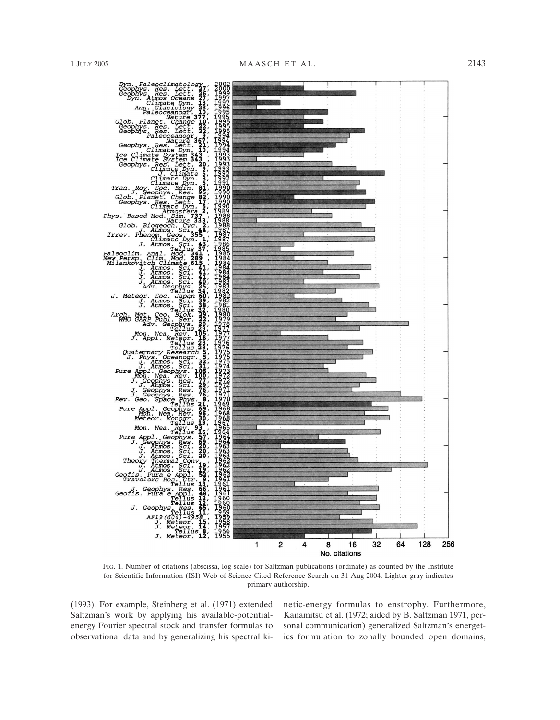

FIG. 1. Number of citations (abscissa, log scale) for Saltzman publications (ordinate) as counted by the Institute for Scientific Information (ISI) Web of Science Cited Reference Search on 31 Aug 2004. Lighter gray indicates primary authorship.

(1993). For example, Steinberg et al. (1971) extended Saltzman's work by applying his available-potentialenergy Fourier spectral stock and transfer formulas to observational data and by generalizing his spectral kinetic-energy formulas to enstrophy. Furthermore, Kanamitsu et al. (1972; aided by B. Saltzman 1971, personal communication) generalized Saltzman's energetics formulation to zonally bounded open domains,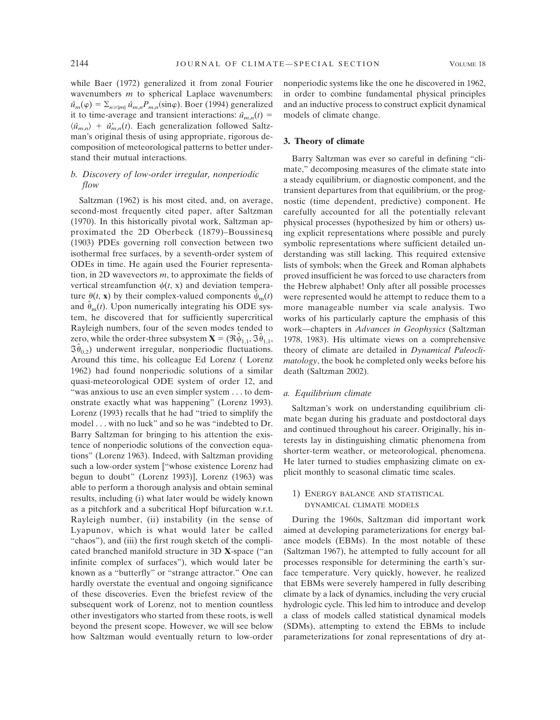while Baer (1972) generalized it from zonal Fourier wavenumbers *m* to spherical Laplace wavenumbers:  $\hat{u}_m(\varphi) = \sum_{n \ge |m|} \hat{u}_{m,n} P_{m,n}(\sin \varphi)$ . Boer (1994) generalized it to time-average and transient interactions:  $\hat{u}_{m,n}(t)$  =  $\langle \hat{u}_{m,n} \rangle$  +  $\hat{u}'_{m,n}(t)$ . Each generalization followed Saltzman's original thesis of using appropriate, rigorous decomposition of meteorological patterns to better understand their mutual interactions.

# *b. Discovery of low-order irregular, nonperiodic flow*

Saltzman (1962) is his most cited, and, on average, second-most frequently cited paper, after Saltzman (1970). In this historically pivotal work, Saltzman approximated the 2D Oberbeck (1879)–Boussinesq (1903) PDEs governing roll convection between two isothermal free surfaces, by a seventh-order system of ODEs in time. He again used the Fourier representation, in 2D wavevectors *m*, to approximate the fields of vertical streamfunction  $\psi(t, x)$  and deviation temperature  $\theta(t, \mathbf{x})$  by their complex-valued components  $\hat{\psi}_{m}(t)$ and  $\hat{\theta}_m(t)$ . Upon numerically integrating his ODE system, he discovered that for sufficiently supercritical Rayleigh numbers, four of the seven modes tended to zero, while the order-three subsystem  $\mathbf{X} = (\Re \hat{\psi}_{1,1}, \Im \hat{\theta}_{1,1}, \Re)$  $\Im \hat{\theta}_{0,2}$ ) underwent irregular, nonperiodic fluctuations. Around this time, his colleague Ed Lorenz ( Lorenz 1962) had found nonperiodic solutions of a similar quasi-meteorological ODE system of order 12, and "was anxious to use an even simpler system . . . to demonstrate exactly what was happening" (Lorenz 1993). Lorenz (1993) recalls that he had "tried to simplify the model . . . with no luck" and so he was "indebted to Dr. Barry Saltzman for bringing to his attention the existence of nonperiodic solutions of the convection equations" (Lorenz 1963). Indeed, with Saltzman providing such a low-order system ["whose existence Lorenz had begun to doubt" (Lorenz 1993)], Lorenz (1963) was able to perform a thorough analysis and obtain seminal results, including (i) what later would be widely known as a pitchfork and a subcritical Hopf bifurcation w.r.t. Rayleigh number, (ii) instability (in the sense of Lyapunov, which is what would later be called "chaos"), and (iii) the first rough sketch of the complicated branched manifold structure in 3D **X**-space ("an infinite complex of surfaces"), which would later be known as a "butterfly" or "strange attractor." One can hardly overstate the eventual and ongoing significance of these discoveries. Even the briefest review of the subsequent work of Lorenz, not to mention countless other investigators who started from these roots, is well beyond the present scope. However, we will see below how Saltzman would eventually return to low-order

nonperiodic systems like the one he discovered in 1962, in order to combine fundamental physical principles and an inductive process to construct explicit dynamical models of climate change.

# **3. Theory of climate**

Barry Saltzman was ever so careful in defining "climate," decomposing measures of the climate state into a steady equilibrium, or diagnostic component, and the transient departures from that equilibrium, or the prognostic (time dependent, predictive) component. He carefully accounted for all the potentially relevant physical processes (hypothesized by him or others) using explicit representations where possible and purely symbolic representations where sufficient detailed understanding was still lacking. This required extensive lists of symbols; when the Greek and Roman alphabets proved insufficient he was forced to use characters from the Hebrew alphabet! Only after all possible processes were represented would he attempt to reduce them to a more manageable number via scale analysis. Two works of his particularly capture the emphasis of this work—chapters in *Advances in Geophysics* (Saltzman 1978, 1983). His ultimate views on a comprehensive theory of climate are detailed in *Dynamical Paleoclimatology*, the book he completed only weeks before his death (Saltzman 2002).

#### *a. Equilibrium climate*

Saltzman's work on understanding equilibrium climate began during his graduate and postdoctoral days and continued throughout his career. Originally, his interests lay in distinguishing climatic phenomena from shorter-term weather, or meteorological, phenomena. He later turned to studies emphasizing climate on explicit monthly to seasonal climatic time scales.

#### 1) ENERGY BALANCE AND STATISTICAL DYNAMICAL CLIMATE MODELS

During the 1960s, Saltzman did important work aimed at developing parameterizations for energy balance models (EBMs). In the most notable of these (Saltzman 1967), he attempted to fully account for all processes responsible for determining the earth's surface temperature. Very quickly, however, he realized that EBMs were severely hampered in fully describing climate by a lack of dynamics, including the very crucial hydrologic cycle. This led him to introduce and develop a class of models called statistical dynamical models (SDMs), attempting to extend the EBMs to include parameterizations for zonal representations of dry at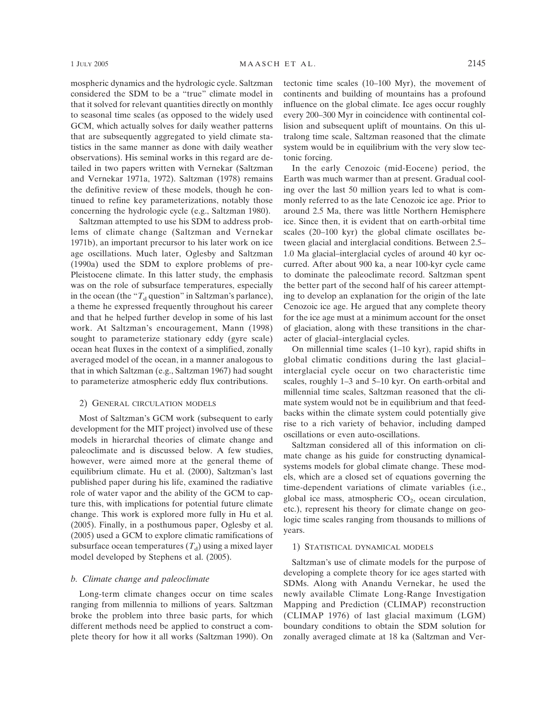mospheric dynamics and the hydrologic cycle. Saltzman considered the SDM to be a "true" climate model in that it solved for relevant quantities directly on monthly to seasonal time scales (as opposed to the widely used GCM, which actually solves for daily weather patterns that are subsequently aggregated to yield climate statistics in the same manner as done with daily weather observations). His seminal works in this regard are detailed in two papers written with Vernekar (Saltzman and Vernekar 1971a, 1972). Saltzman (1978) remains the definitive review of these models, though he continued to refine key parameterizations, notably those concerning the hydrologic cycle (e.g., Saltzman 1980).

Saltzman attempted to use his SDM to address problems of climate change (Saltzman and Vernekar 1971b), an important precursor to his later work on ice age oscillations. Much later, Oglesby and Saltzman (1990a) used the SDM to explore problems of pre-Pleistocene climate. In this latter study, the emphasis was on the role of subsurface temperatures, especially in the ocean (the " $T_d$  question" in Saltzman's parlance), a theme he expressed frequently throughout his career and that he helped further develop in some of his last work. At Saltzman's encouragement, Mann (1998) sought to parameterize stationary eddy (gyre scale) ocean heat fluxes in the context of a simplified, zonally averaged model of the ocean, in a manner analogous to that in which Saltzman (e.g., Saltzman 1967) had sought to parameterize atmospheric eddy flux contributions.

#### 2) GENERAL CIRCULATION MODELS

Most of Saltzman's GCM work (subsequent to early development for the MIT project) involved use of these models in hierarchal theories of climate change and paleoclimate and is discussed below. A few studies, however, were aimed more at the general theme of equilibrium climate. Hu et al. (2000), Saltzman's last published paper during his life, examined the radiative role of water vapor and the ability of the GCM to capture this, with implications for potential future climate change. This work is explored more fully in Hu et al. (2005). Finally, in a posthumous paper, Oglesby et al. (2005) used a GCM to explore climatic ramifications of subsurface ocean temperatures  $(T_d)$  using a mixed layer model developed by Stephens et al. (2005).

# *b. Climate change and paleoclimate*

Long-term climate changes occur on time scales ranging from millennia to millions of years. Saltzman broke the problem into three basic parts, for which different methods need be applied to construct a complete theory for how it all works (Saltzman 1990). On

tectonic time scales (10–100 Myr), the movement of continents and building of mountains has a profound influence on the global climate. Ice ages occur roughly every 200–300 Myr in coincidence with continental collision and subsequent uplift of mountains. On this ultralong time scale, Saltzman reasoned that the climate system would be in equilibrium with the very slow tectonic forcing.

In the early Cenozoic (mid-Eocene) period, the Earth was much warmer than at present. Gradual cooling over the last 50 million years led to what is commonly referred to as the late Cenozoic ice age. Prior to around 2.5 Ma, there was little Northern Hemisphere ice. Since then, it is evident that on earth-orbital time scales (20–100 kyr) the global climate oscillates between glacial and interglacial conditions. Between 2.5– 1.0 Ma glacial–interglacial cycles of around 40 kyr occurred. After about 900 ka, a near 100-kyr cycle came to dominate the paleoclimate record. Saltzman spent the better part of the second half of his career attempting to develop an explanation for the origin of the late Cenozoic ice age. He argued that any complete theory for the ice age must at a minimum account for the onset of glaciation, along with these transitions in the character of glacial–interglacial cycles.

On millennial time scales (1–10 kyr), rapid shifts in global climatic conditions during the last glacial– interglacial cycle occur on two characteristic time scales, roughly 1–3 and 5–10 kyr. On earth-orbital and millennial time scales, Saltzman reasoned that the climate system would not be in equilibrium and that feedbacks within the climate system could potentially give rise to a rich variety of behavior, including damped oscillations or even auto-oscillations.

Saltzman considered all of this information on climate change as his guide for constructing dynamicalsystems models for global climate change. These models, which are a closed set of equations governing the time-dependent variations of climate variables (i.e., global ice mass, atmospheric  $CO<sub>2</sub>$ , ocean circulation, etc.), represent his theory for climate change on geologic time scales ranging from thousands to millions of years.

#### 1) STATISTICAL DYNAMICAL MODELS

Saltzman's use of climate models for the purpose of developing a complete theory for ice ages started with SDMs. Along with Anandu Vernekar, he used the newly available Climate Long-Range Investigation Mapping and Prediction (CLIMAP) reconstruction (CLIMAP 1976) of last glacial maximum (LGM) boundary conditions to obtain the SDM solution for zonally averaged climate at 18 ka (Saltzman and Ver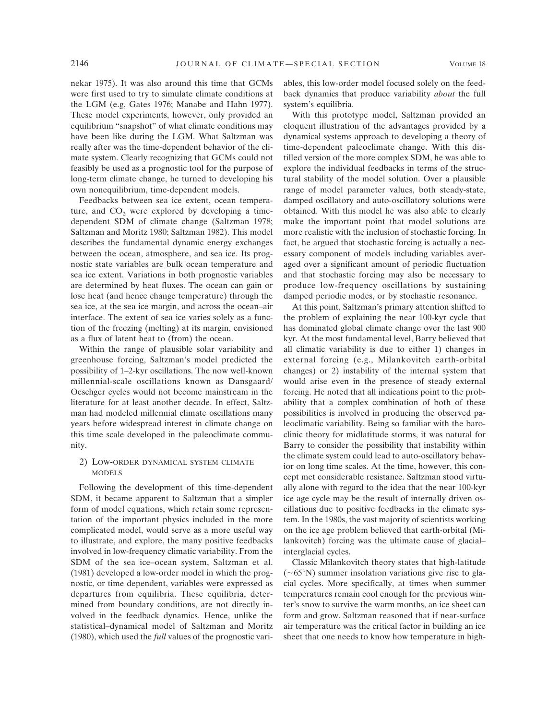nekar 1975). It was also around this time that GCMs were first used to try to simulate climate conditions at the LGM (e.g, Gates 1976; Manabe and Hahn 1977). These model experiments, however, only provided an equilibrium "snapshot" of what climate conditions may have been like during the LGM. What Saltzman was really after was the time-dependent behavior of the climate system. Clearly recognizing that GCMs could not feasibly be used as a prognostic tool for the purpose of long-term climate change, he turned to developing his own nonequilibrium, time-dependent models.

Feedbacks between sea ice extent, ocean temperature, and  $CO<sub>2</sub>$  were explored by developing a timedependent SDM of climate change (Saltzman 1978; Saltzman and Moritz 1980; Saltzman 1982). This model describes the fundamental dynamic energy exchanges between the ocean, atmosphere, and sea ice. Its prognostic state variables are bulk ocean temperature and sea ice extent. Variations in both prognostic variables are determined by heat fluxes. The ocean can gain or lose heat (and hence change temperature) through the sea ice, at the sea ice margin, and across the ocean–air interface. The extent of sea ice varies solely as a function of the freezing (melting) at its margin, envisioned as a flux of latent heat to (from) the ocean.

Within the range of plausible solar variability and greenhouse forcing, Saltzman's model predicted the possibility of 1–2-kyr oscillations. The now well-known millennial-scale oscillations known as Dansgaard/ Oeschger cycles would not become mainstream in the literature for at least another decade. In effect, Saltzman had modeled millennial climate oscillations many years before widespread interest in climate change on this time scale developed in the paleoclimate community.

# 2) LOW-ORDER DYNAMICAL SYSTEM CLIMATE MODELS

Following the development of this time-dependent SDM, it became apparent to Saltzman that a simpler form of model equations, which retain some representation of the important physics included in the more complicated model, would serve as a more useful way to illustrate, and explore, the many positive feedbacks involved in low-frequency climatic variability. From the SDM of the sea ice–ocean system, Saltzman et al. (1981) developed a low-order model in which the prognostic, or time dependent, variables were expressed as departures from equilibria. These equilibria, determined from boundary conditions, are not directly involved in the feedback dynamics. Hence, unlike the statistical–dynamical model of Saltzman and Moritz (1980), which used the *full* values of the prognostic variables, this low-order model focused solely on the feedback dynamics that produce variability *about* the full system's equilibria.

With this prototype model, Saltzman provided an eloquent illustration of the advantages provided by a dynamical systems approach to developing a theory of time-dependent paleoclimate change. With this distilled version of the more complex SDM, he was able to explore the individual feedbacks in terms of the structural stability of the model solution. Over a plausible range of model parameter values, both steady-state, damped oscillatory and auto-oscillatory solutions were obtained. With this model he was also able to clearly make the important point that model solutions are more realistic with the inclusion of stochastic forcing. In fact, he argued that stochastic forcing is actually a necessary component of models including variables averaged over a significant amount of periodic fluctuation and that stochastic forcing may also be necessary to produce low-frequency oscillations by sustaining damped periodic modes, or by stochastic resonance.

At this point, Saltzman's primary attention shifted to the problem of explaining the near 100-kyr cycle that has dominated global climate change over the last 900 kyr. At the most fundamental level, Barry believed that all climatic variability is due to either 1) changes in external forcing (e.g., Milankovitch earth-orbital changes) or 2) instability of the internal system that would arise even in the presence of steady external forcing. He noted that all indications point to the probability that a complex combination of both of these possibilities is involved in producing the observed paleoclimatic variability. Being so familiar with the baroclinic theory for midlatitude storms, it was natural for Barry to consider the possibility that instability within the climate system could lead to auto-oscillatory behavior on long time scales. At the time, however, this concept met considerable resistance. Saltzman stood virtually alone with regard to the idea that the near 100-kyr ice age cycle may be the result of internally driven oscillations due to positive feedbacks in the climate system. In the 1980s, the vast majority of scientists working on the ice age problem believed that earth-orbital (Milankovitch) forcing was the ultimate cause of glacial– interglacial cycles.

Classic Milankovitch theory states that high-latitude  $(-65°N)$  summer insolation variations give rise to glacial cycles. More specifically, at times when summer temperatures remain cool enough for the previous winter's snow to survive the warm months, an ice sheet can form and grow. Saltzman reasoned that if near-surface air temperature was the critical factor in building an ice sheet that one needs to know how temperature in high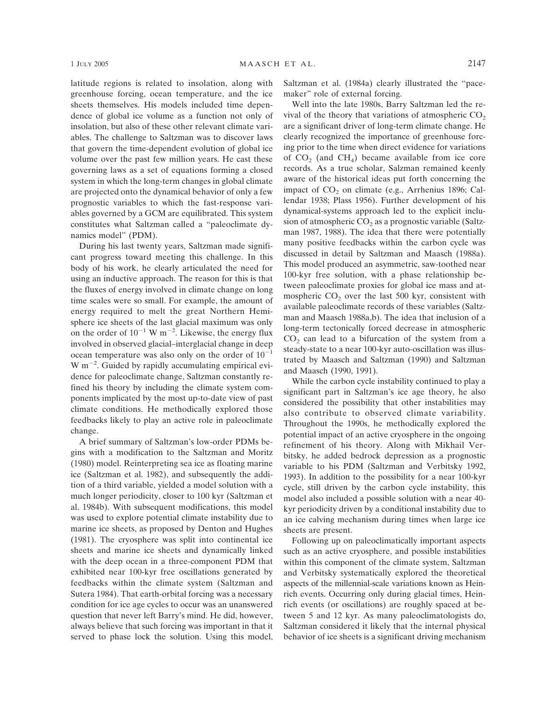latitude regions is related to insolation, along with greenhouse forcing, ocean temperature, and the ice sheets themselves. His models included time dependence of global ice volume as a function not only of insolation, but also of these other relevant climate variables. The challenge to Saltzman was to discover laws that govern the time-dependent evolution of global ice volume over the past few million years. He cast these governing laws as a set of equations forming a closed system in which the long-term changes in global climate are projected onto the dynamical behavior of only a few prognostic variables to which the fast-response variables governed by a GCM are equilibrated. This system constitutes what Saltzman called a "paleoclimate dynamics model" (PDM).

During his last twenty years, Saltzman made significant progress toward meeting this challenge. In this body of his work, he clearly articulated the need for using an inductive approach. The reason for this is that the fluxes of energy involved in climate change on long time scales were so small. For example, the amount of energy required to melt the great Northern Hemisphere ice sheets of the last glacial maximum was only on the order of  $10^{-1}$  W m<sup>-2</sup>. Likewise, the energy flux involved in observed glacial–interglacial change in deep ocean temperature was also only on the order of  $10^{-1}$  $W \, \text{m}^{-2}$ . Guided by rapidly accumulating empirical evidence for paleoclimate change, Saltzman constantly refined his theory by including the climate system components implicated by the most up-to-date view of past climate conditions. He methodically explored those feedbacks likely to play an active role in paleoclimate change.

A brief summary of Saltzman's low-order PDMs begins with a modification to the Saltzman and Moritz (1980) model. Reinterpreting sea ice as floating marine ice (Saltzman et al. 1982), and subsequently the addition of a third variable, yielded a model solution with a much longer periodicity, closer to 100 kyr (Saltzman et al. 1984b). With subsequent modifications, this model was used to explore potential climate instability due to marine ice sheets, as proposed by Denton and Hughes (1981). The cryosphere was split into continental ice sheets and marine ice sheets and dynamically linked with the deep ocean in a three-component PDM that exhibited near 100-kyr free oscillations generated by feedbacks within the climate system (Saltzman and Sutera 1984). That earth-orbital forcing was a necessary condition for ice age cycles to occur was an unanswered question that never left Barry's mind. He did, however, always believe that such forcing was important in that it served to phase lock the solution. Using this model,

Saltzman et al. (1984a) clearly illustrated the "pacemaker" role of external forcing.

Well into the late 1980s, Barry Saltzman led the revival of the theory that variations of atmospheric  $CO<sub>2</sub>$ are a significant driver of long-term climate change. He clearly recognized the importance of greenhouse forcing prior to the time when direct evidence for variations of  $CO<sub>2</sub>$  (and  $CH<sub>4</sub>$ ) became available from ice core records. As a true scholar, Salzman remained keenly aware of the historical ideas put forth concerning the impact of  $CO<sub>2</sub>$  on climate (e.g., Arrhenius 1896; Callendar 1938; Plass 1956). Further development of his dynamical-systems approach led to the explicit inclusion of atmospheric  $CO<sub>2</sub>$  as a prognostic variable (Saltzman 1987, 1988). The idea that there were potentially many positive feedbacks within the carbon cycle was discussed in detail by Saltzman and Maasch (1988a). This model produced an asymmetric, saw-toothed near 100-kyr free solution, with a phase relationship between paleoclimate proxies for global ice mass and atmospheric  $CO<sub>2</sub>$  over the last 500 kyr, consistent with available paleoclimate records of these variables (Saltzman and Maasch 1988a,b). The idea that inclusion of a long-term tectonically forced decrease in atmospheric  $CO<sub>2</sub>$  can lead to a bifurcation of the system from a steady-state to a near 100-kyr auto-oscillation was illustrated by Maasch and Saltzman (1990) and Saltzman and Maasch (1990, 1991).

While the carbon cycle instability continued to play a significant part in Saltzman's ice age theory, he also considered the possibility that other instabilities may also contribute to observed climate variability. Throughout the 1990s, he methodically explored the potential impact of an active cryosphere in the ongoing refinement of his theory. Along with Mikhail Verbitsky, he added bedrock depression as a prognostic variable to his PDM (Saltzman and Verbitsky 1992, 1993). In addition to the possibility for a near 100-kyr cycle, still driven by the carbon cycle instability, this model also included a possible solution with a near 40 kyr periodicity driven by a conditional instability due to an ice calving mechanism during times when large ice sheets are present.

Following up on paleoclimatically important aspects such as an active cryosphere, and possible instabilities within this component of the climate system, Saltzman and Verbitsky systematically explored the theoretical aspects of the millennial-scale variations known as Heinrich events. Occurring only during glacial times, Heinrich events (or oscillations) are roughly spaced at between 5 and 12 kyr. As many paleoclimatologists do, Saltzman considered it likely that the internal physical behavior of ice sheets is a significant driving mechanism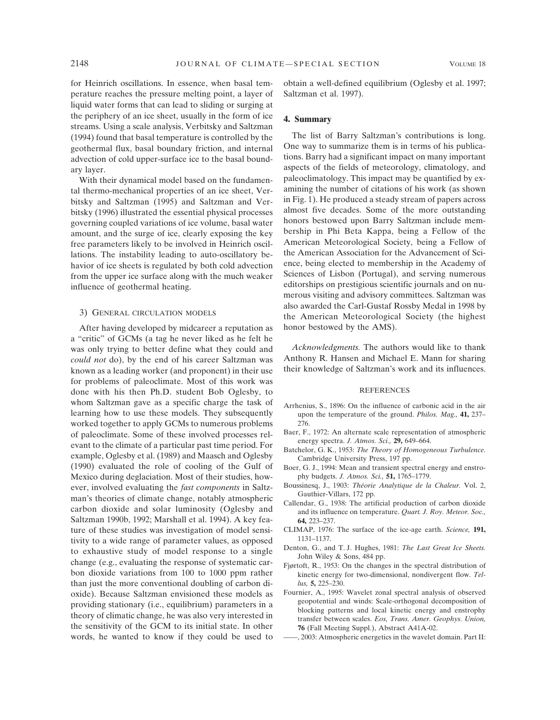for Heinrich oscillations. In essence, when basal temperature reaches the pressure melting point, a layer of liquid water forms that can lead to sliding or surging at the periphery of an ice sheet, usually in the form of ice streams. Using a scale analysis, Verbitsky and Saltzman (1994) found that basal temperature is controlled by the geothermal flux, basal boundary friction, and internal advection of cold upper-surface ice to the basal boundary layer.

With their dynamical model based on the fundamental thermo-mechanical properties of an ice sheet, Verbitsky and Saltzman (1995) and Saltzman and Verbitsky (1996) illustrated the essential physical processes governing coupled variations of ice volume, basal water amount, and the surge of ice, clearly exposing the key free parameters likely to be involved in Heinrich oscillations. The instability leading to auto-oscillatory behavior of ice sheets is regulated by both cold advection from the upper ice surface along with the much weaker influence of geothermal heating.

#### 3) GENERAL CIRCULATION MODELS

After having developed by midcareer a reputation as a "critic" of GCMs (a tag he never liked as he felt he was only trying to better define what they could and *could not* do), by the end of his career Saltzman was known as a leading worker (and proponent) in their use for problems of paleoclimate. Most of this work was done with his then Ph.D. student Bob Oglesby, to whom Saltzman gave as a specific charge the task of learning how to use these models. They subsequently worked together to apply GCMs to numerous problems of paleoclimate. Some of these involved processes relevant to the climate of a particular past time period. For example, Oglesby et al. (1989) and Maasch and Oglesby (1990) evaluated the role of cooling of the Gulf of Mexico during deglaciation. Most of their studies, however, involved evaluating the *fast components* in Saltzman's theories of climate change, notably atmospheric carbon dioxide and solar luminosity (Oglesby and Saltzman 1990b, 1992; Marshall et al. 1994). A key feature of these studies was investigation of model sensitivity to a wide range of parameter values, as opposed to exhaustive study of model response to a single change (e.g., evaluating the response of systematic carbon dioxide variations from 100 to 1000 ppm rather than just the more conventional doubling of carbon dioxide). Because Saltzman envisioned these models as providing stationary (i.e., equilibrium) parameters in a theory of climatic change, he was also very interested in the sensitivity of the GCM to its initial state. In other words, he wanted to know if they could be used to

obtain a well-defined equilibrium (Oglesby et al. 1997; Saltzman et al. 1997).

#### **4. Summary**

The list of Barry Saltzman's contributions is long. One way to summarize them is in terms of his publications. Barry had a significant impact on many important aspects of the fields of meteorology, climatology, and paleoclimatology. This impact may be quantified by examining the number of citations of his work (as shown in Fig. 1). He produced a steady stream of papers across almost five decades. Some of the more outstanding honors bestowed upon Barry Saltzman include membership in Phi Beta Kappa, being a Fellow of the American Meteorological Society, being a Fellow of the American Association for the Advancement of Science, being elected to membership in the Academy of Sciences of Lisbon (Portugal), and serving numerous editorships on prestigious scientific journals and on numerous visiting and advisory committees. Saltzman was also awarded the Carl-Gustaf Rossby Medal in 1998 by the American Meteorological Society (the highest honor bestowed by the AMS).

*Acknowledgments.* The authors would like to thank Anthony R. Hansen and Michael E. Mann for sharing their knowledge of Saltzman's work and its influences.

#### **REFERENCES**

- Arrhenius, S., 1896: On the influence of carbonic acid in the air upon the temperature of the ground. *Philos. Mag.,* **41,** 237– 276.
- Baer, F., 1972: An alternate scale representation of atmospheric energy spectra. *J. Atmos. Sci.,* **29,** 649–664.
- Batchelor, G. K., 1953: *The Theory of Homogeneous Turbulence.* Cambridge University Press, 197 pp.
- Boer, G. J., 1994: Mean and transient spectral energy and enstrophy budgets. *J. Atmos. Sci.,* **51,** 1765–1779.
- Boussinesq, J., 1903: *Théorie Analytique de la Chaleur.* Vol. 2, Gauthier-Villars, 172 pp.
- Callendar, G., 1938: The artificial production of carbon dioxide and its influence on temperature. *Quart. J. Roy. Meteor. Soc.,* **64,** 223–237.
- CLIMAP, 1976: The surface of the ice-age earth. *Science,* **191,** 1131–1137.
- Denton, G., and T. J. Hughes, 1981: *The Last Great Ice Sheets.* John Wiley & Sons, 484 pp.
- Fjørtoft, R., 1953: On the changes in the spectral distribution of kinetic energy for two-dimensional, nondivergent flow. *Tellus,* **5,** 225–230.
- Fournier, A., 1995: Wavelet zonal spectral analysis of observed geopotential and winds: Scale-orthogonal decomposition of blocking patterns and local kinetic energy and enstrophy transfer between scales. *Eos, Trans. Amer. Geophys. Union,* **76** (Fall Meeting Suppl.), Abstract A41A-02.
- ——, 2003: Atmospheric energetics in the wavelet domain. Part II: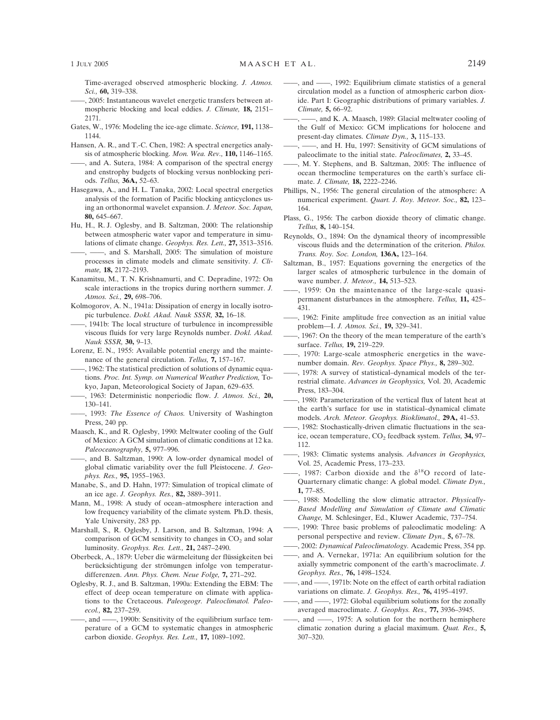Time-averaged observed atmospheric blocking. *J. Atmos. Sci.,* **60,** 319–338.

- ——, 2005: Instantaneous wavelet energetic transfers between atmospheric blocking and local eddies. *J. Climate,* **18,** 2151– 2171.
- Gates, W., 1976: Modeling the ice-age climate. *Science,* **191,** 1138– 1144.
- Hansen, A. R., and T.-C. Chen, 1982: A spectral energetics analysis of atmospheric blocking. *Mon. Wea. Rev.,* **110,** 1146–1165.
- -, and A. Sutera, 1984: A comparison of the spectral energy and enstrophy budgets of blocking versus nonblocking periods. *Tellus,* **36A,** 52–63.
- Hasegawa, A., and H. L. Tanaka, 2002: Local spectral energetics analysis of the formation of Pacific blocking anticyclones using an orthonormal wavelet expansion. *J. Meteor. Soc. Japan,* **80,** 645–667.
- Hu, H., R. J. Oglesby, and B. Saltzman, 2000: The relationship between atmospheric water vapor and temperature in simulations of climate change. *Geophys. Res. Lett.,* **27,** 3513–3516.
- ——, ——, and S. Marshall, 2005: The simulation of moisture processes in climate models and climate sensitivity. *J. Climate,* **18,** 2172–2193.
- Kanamitsu, M., T. N. Krishnamurti, and C. Depradine, 1972: On scale interactions in the tropics during northern summer. *J. Atmos. Sci.,* **29,** 698–706.
- Kolmogorov, A. N., 1941a: Dissipation of energy in locally isotropic turbulence. *Dokl. Akad. Nauk SSSR,* **32,** 16–18.
- ——, 1941b: The local structure of turbulence in incompressible viscous fluids for very large Reynolds number. *Dokl. Akad. Nauk SSSR,* **30,** 9–13.
- Lorenz, E. N., 1955: Available potential energy and the maintenance of the general circulation. *Tellus,* **7,** 157–167.
- ——, 1962: The statistical prediction of solutions of dynamic equations. *Proc. Int. Symp. on Numerical Weather Prediction,* Tokyo, Japan, Meteorological Society of Japan, 629–635*.*
- ——, 1963: Deterministic nonperiodic flow. *J. Atmos. Sci.,* **20,** 130–141.
- ——, 1993: *The Essence of Chaos.* University of Washington Press, 240 pp.
- Maasch, K., and R. Oglesby, 1990: Meltwater cooling of the Gulf of Mexico: A GCM simulation of climatic conditions at 12 ka. *Paleoceanography,* **5,** 977–996.
- and B. Saltzman, 1990: A low-order dynamical model of global climatic variability over the full Pleistocene. *J. Geophys. Res.,* **95,** 1955–1963.
- Manabe, S., and D. Hahn, 1977: Simulation of tropical climate of an ice age. *J. Geophys. Res.,* **82,** 3889–3911.
- Mann, M., 1998: A study of ocean–atmosphere interaction and low frequency variability of the climate system*.* Ph.D. thesis, Yale University, 283 pp.
- Marshall, S., R. Oglesby, J. Larson, and B. Saltzman, 1994: A comparison of GCM sensitivity to changes in  $CO<sub>2</sub>$  and solar luminosity. *Geophys. Res. Lett.,* **21,** 2487–2490.
- Oberbeck, A., 1879: Ueber die wärmeleitung der flüssigkeiten bei berücksichtigung der strömungen infolge von temperaturdifferenzen. *Ann. Phys. Chem. Neue Folge,* **7,** 271–292.
- Oglesby, R. J., and B. Saltzman, 1990a: Extending the EBM: The effect of deep ocean temperature on climate with applications to the Cretaceous. *Paleogeogr. Paleoclimatol. Paleoecol.,* **82,** 237–259.
- ——, and ——, 1990b: Sensitivity of the equilibrium surface temperature of a GCM to systematic changes in atmospheric carbon dioxide. *Geophys. Res. Lett.,* **17,** 1089–1092.
- ——, and ——, 1992: Equilibrium climate statistics of a general circulation model as a function of atmospheric carbon dioxide. Part I: Geographic distributions of primary variables. *J. Climate,* **5,** 66–92.
- -, and K. A. Maasch, 1989: Glacial meltwater cooling of the Gulf of Mexico: GCM implications for holocene and present-day climates. *Climate Dyn.,* **3,** 115–133.
- -, and H. Hu, 1997: Sensitivity of GCM simulations of paleoclimate to the initial state. *Paleoclimates,* **2,** 33–45.
- -, M. Y. Stephens, and B. Saltzman, 2005: The influence of ocean thermocline temperatures on the earth's surface climate. *J. Climate,* **18,** 2222–2246.
- Phillips, N., 1956: The general circulation of the atmosphere: A numerical experiment. *Quart. J. Roy. Meteor. Soc.,* **82,** 123– 164.
- Plass, G., 1956: The carbon dioxide theory of climatic change. *Tellus,* **8,** 140–154.
- Reynolds, O., 1894: On the dynamical theory of incompressible viscous fluids and the determination of the criterion. *Philos. Trans. Roy. Soc. London,* **136A,** 123–164.
- Saltzman, B., 1957: Equations governing the energetics of the larger scales of atmospheric turbulence in the domain of wave number. *J. Meteor.,* **14,** 513–523.
- ——, 1959: On the maintenance of the large-scale quasipermanent disturbances in the atmosphere. *Tellus,* **11,** 425– 431.
- ——, 1962: Finite amplitude free convection as an initial value problem—I. *J. Atmos. Sci.,* **19,** 329–341.
- ——, 1967: On the theory of the mean temperature of the earth's surface. *Tellus,* **19,** 219–229.
- -, 1970: Large-scale atmospheric energetics in the wavenumber domain. *Rev. Geophys. Space Phys.,* **8,** 289–302.
- ——, 1978: A survey of statistical–dynamical models of the terrestrial climate. *Advances in Geophysics,* Vol. 20, Academic Press, 183–304.
- ——, 1980: Parameterization of the vertical flux of latent heat at the earth's surface for use in statistical–dynamical climate models. *Arch. Meteor. Geophys. Bioklimatol.,* **29A,** 41–53.
- ——, 1982: Stochastically-driven climatic fluctuations in the seaice, ocean temperature, CO<sub>2</sub> feedback system. *Tellus*, 34, 97– 112.
- ——, 1983: Climatic systems analysis. *Advances in Geophysics,* Vol. 25, Academic Press, 173–233.
- $-$ , 1987: Carbon dioxide and the  $\delta^{18}$ O record of late-Quarternary climatic change: A global model. *Climate Dyn.,* **1,** 77–85.
- ——, 1988: Modelling the slow climatic attractor. *Physically-Based Modelling and Simulation of Climate and Climatic Change,* M. Schlesinger, Ed., Kluwer Academic, 737–754.
- ——, 1990: Three basic problems of paleoclimatic modeling: A personal perspective and review. *Climate Dyn.,* **5,** 67–78.
- ——, 2002: *Dynamical Paleoclimatology.* Academic Press, 354 pp.
- ——, and A. Vernekar, 1971a: An equilibrium solution for the axially symmetric component of the earth's macroclimate. *J. Geophys. Res.,* **76,** 1498–1524.
- ——, and ——, 1971b: Note on the effect of earth orbital radiation variations on climate. *J. Geophys. Res.,* **76,** 4195–4197.
- ——, and ——, 1972: Global equilibrium solutions for the zonally averaged macroclimate. *J. Geophys. Res.,* **77,** 3936–3945.
- ——, and ——, 1975: A solution for the northern hemisphere climatic zonation during a glacial maximum. *Quat. Res.,* **5,** 307–320.